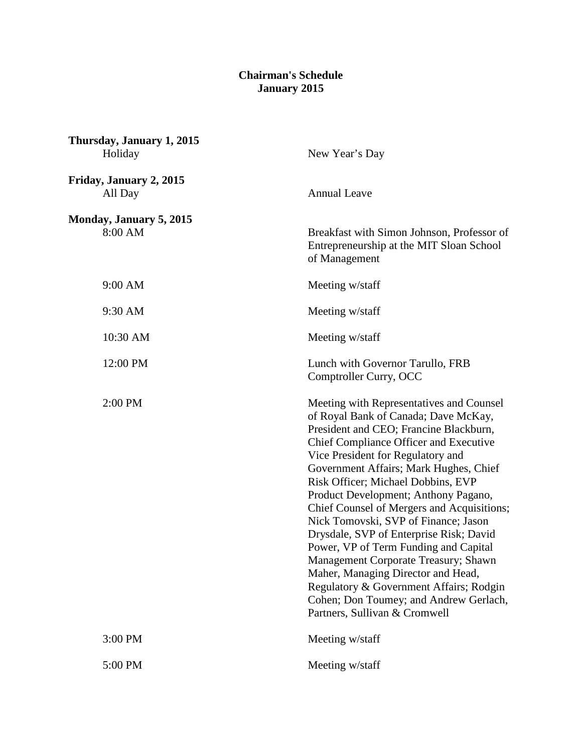## **Chairman's Schedule January 2015**

| Thursday, January 1, 2015<br>Holiday | New Year's Day                                                                                                                                                                                                                                                                                                                                                                                                                                                                                                                                                                                                                                                                                                  |
|--------------------------------------|-----------------------------------------------------------------------------------------------------------------------------------------------------------------------------------------------------------------------------------------------------------------------------------------------------------------------------------------------------------------------------------------------------------------------------------------------------------------------------------------------------------------------------------------------------------------------------------------------------------------------------------------------------------------------------------------------------------------|
| Friday, January 2, 2015<br>All Day   | <b>Annual Leave</b>                                                                                                                                                                                                                                                                                                                                                                                                                                                                                                                                                                                                                                                                                             |
| Monday, January 5, 2015<br>8:00 AM   | Breakfast with Simon Johnson, Professor of<br>Entrepreneurship at the MIT Sloan School<br>of Management                                                                                                                                                                                                                                                                                                                                                                                                                                                                                                                                                                                                         |
| 9:00 AM                              | Meeting w/staff                                                                                                                                                                                                                                                                                                                                                                                                                                                                                                                                                                                                                                                                                                 |
| 9:30 AM                              | Meeting w/staff                                                                                                                                                                                                                                                                                                                                                                                                                                                                                                                                                                                                                                                                                                 |
| 10:30 AM                             | Meeting w/staff                                                                                                                                                                                                                                                                                                                                                                                                                                                                                                                                                                                                                                                                                                 |
| 12:00 PM                             | Lunch with Governor Tarullo, FRB<br>Comptroller Curry, OCC                                                                                                                                                                                                                                                                                                                                                                                                                                                                                                                                                                                                                                                      |
| 2:00 PM                              | Meeting with Representatives and Counsel<br>of Royal Bank of Canada; Dave McKay,<br>President and CEO; Francine Blackburn,<br>Chief Compliance Officer and Executive<br>Vice President for Regulatory and<br>Government Affairs; Mark Hughes, Chief<br>Risk Officer; Michael Dobbins, EVP<br>Product Development; Anthony Pagano,<br>Chief Counsel of Mergers and Acquisitions;<br>Nick Tomovski, SVP of Finance; Jason<br>Drysdale, SVP of Enterprise Risk; David<br>Power, VP of Term Funding and Capital<br>Management Corporate Treasury; Shawn<br>Maher, Managing Director and Head,<br>Regulatory & Government Affairs; Rodgin<br>Cohen; Don Toumey; and Andrew Gerlach,<br>Partners, Sullivan & Cromwell |
| 3:00 PM                              | Meeting w/staff                                                                                                                                                                                                                                                                                                                                                                                                                                                                                                                                                                                                                                                                                                 |
| 5:00 PM                              | Meeting w/staff                                                                                                                                                                                                                                                                                                                                                                                                                                                                                                                                                                                                                                                                                                 |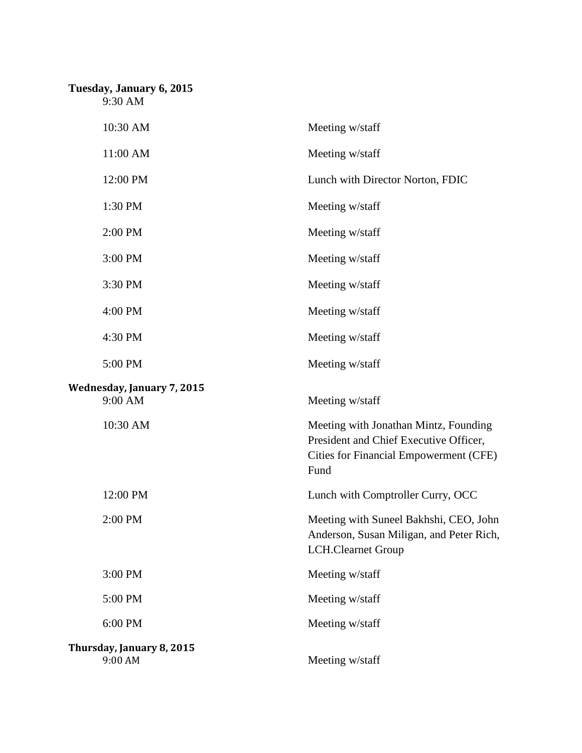## **Tuesday, January 6, 2015**

9:30 AM

| 10:30 AM                              | Meeting w/staff                                                                                                                   |
|---------------------------------------|-----------------------------------------------------------------------------------------------------------------------------------|
| 11:00 AM                              | Meeting w/staff                                                                                                                   |
| 12:00 PM                              | Lunch with Director Norton, FDIC                                                                                                  |
| 1:30 PM                               | Meeting w/staff                                                                                                                   |
| 2:00 PM                               | Meeting w/staff                                                                                                                   |
| 3:00 PM                               | Meeting w/staff                                                                                                                   |
| 3:30 PM                               | Meeting w/staff                                                                                                                   |
| 4:00 PM                               | Meeting w/staff                                                                                                                   |
| 4:30 PM                               | Meeting w/staff                                                                                                                   |
| 5:00 PM                               | Meeting w/staff                                                                                                                   |
| Wednesday, January 7, 2015<br>9:00 AM | Meeting w/staff                                                                                                                   |
| 10:30 AM                              | Meeting with Jonathan Mintz, Founding<br>President and Chief Executive Officer,<br>Cities for Financial Empowerment (CFE)<br>Fund |
| 12:00 PM                              | Lunch with Comptroller Curry, OCC                                                                                                 |
| 2:00 PM                               | Meeting with Suneel Bakhshi, CEO, John<br>Anderson, Susan Miligan, and Peter Rich,<br><b>LCH.Clearnet Group</b>                   |
| 3:00 PM                               | Meeting w/staff                                                                                                                   |
| 5:00 PM                               | Meeting w/staff                                                                                                                   |
| 6:00 PM                               | Meeting w/staff                                                                                                                   |
| Thursday, January 8, 2015<br>9:00 AM  | Meeting w/staff                                                                                                                   |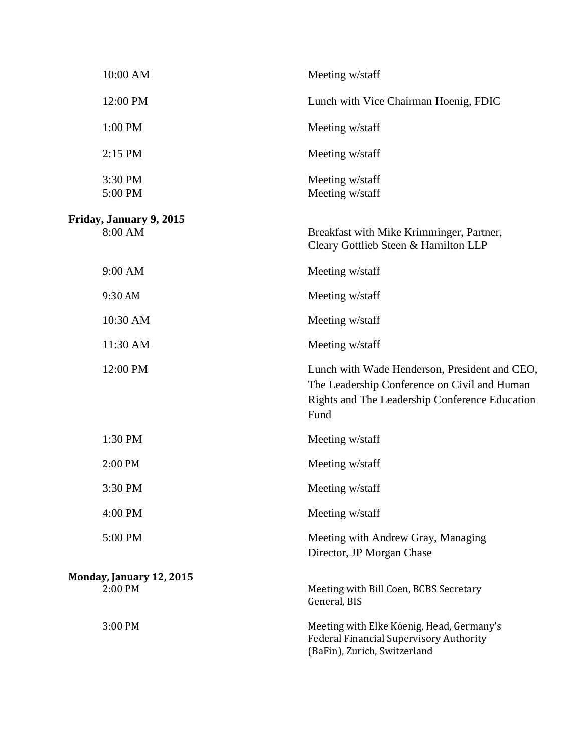| 10:00 AM                            | Meeting w/staff                                                                                                                                         |
|-------------------------------------|---------------------------------------------------------------------------------------------------------------------------------------------------------|
| 12:00 PM                            | Lunch with Vice Chairman Hoenig, FDIC                                                                                                                   |
| 1:00 PM                             | Meeting w/staff                                                                                                                                         |
| 2:15 PM                             | Meeting w/staff                                                                                                                                         |
| 3:30 PM<br>5:00 PM                  | Meeting w/staff<br>Meeting w/staff                                                                                                                      |
| Friday, January 9, 2015<br>8:00 AM  | Breakfast with Mike Krimminger, Partner,<br>Cleary Gottlieb Steen & Hamilton LLP                                                                        |
| 9:00 AM                             | Meeting w/staff                                                                                                                                         |
| 9:30 AM                             | Meeting w/staff                                                                                                                                         |
| 10:30 AM                            | Meeting w/staff                                                                                                                                         |
| 11:30 AM                            | Meeting w/staff                                                                                                                                         |
| 12:00 PM                            | Lunch with Wade Henderson, President and CEO,<br>The Leadership Conference on Civil and Human<br>Rights and The Leadership Conference Education<br>Fund |
| 1:30 PM                             | Meeting w/staff                                                                                                                                         |
| 2:00 PM                             | Meeting w/staff                                                                                                                                         |
| 3:30 PM                             | Meeting w/staff                                                                                                                                         |
| 4:00 PM                             | Meeting w/staff                                                                                                                                         |
| 5:00 PM                             | Meeting with Andrew Gray, Managing<br>Director, JP Morgan Chase                                                                                         |
| Monday, January 12, 2015<br>2:00 PM | Meeting with Bill Coen, BCBS Secretary<br>General, BIS                                                                                                  |
| 3:00 PM                             | Meeting with Elke Köenig, Head, Germany's<br><b>Federal Financial Supervisory Authority</b><br>(BaFin), Zurich, Switzerland                             |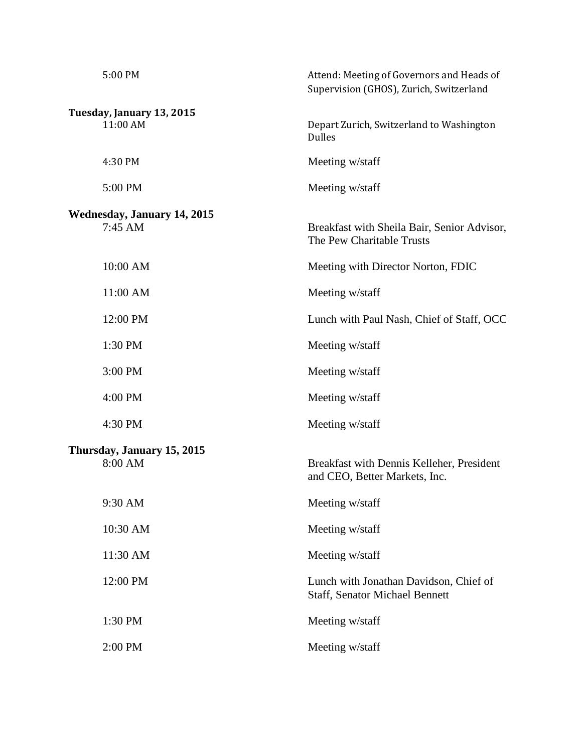| 5:00 PM                            | Attend: Meeting of Governors and Heads of<br>Supervision (GHOS), Zurich, Switzerland |
|------------------------------------|--------------------------------------------------------------------------------------|
| Tuesday, January 13, 2015          |                                                                                      |
| 11:00 AM                           | Depart Zurich, Switzerland to Washington<br><b>Dulles</b>                            |
| 4:30 PM                            | Meeting w/staff                                                                      |
| 5:00 PM                            | Meeting w/staff                                                                      |
| <b>Wednesday, January 14, 2015</b> |                                                                                      |
| $7:45 \text{ AM}$                  | Breakfast with Sheila Bair, Senior Advisor,<br>The Pew Charitable Trusts             |
| 10:00 AM                           | Meeting with Director Norton, FDIC                                                   |
| 11:00 AM                           | Meeting w/staff                                                                      |
| 12:00 PM                           | Lunch with Paul Nash, Chief of Staff, OCC                                            |
| 1:30 PM                            | Meeting w/staff                                                                      |
| 3:00 PM                            | Meeting w/staff                                                                      |
| 4:00 PM                            | Meeting w/staff                                                                      |
| 4:30 PM                            | Meeting w/staff                                                                      |
| Thursday, January 15, 2015         |                                                                                      |
| 8:00 AM                            | Breakfast with Dennis Kelleher, President<br>and CEO, Better Markets, Inc.           |
| 9:30 AM                            | Meeting w/staff                                                                      |
| 10:30 AM                           | Meeting w/staff                                                                      |
| 11:30 AM                           | Meeting w/staff                                                                      |
| 12:00 PM                           | Lunch with Jonathan Davidson, Chief of<br><b>Staff, Senator Michael Bennett</b>      |
| 1:30 PM                            | Meeting w/staff                                                                      |
| 2:00 PM                            | Meeting w/staff                                                                      |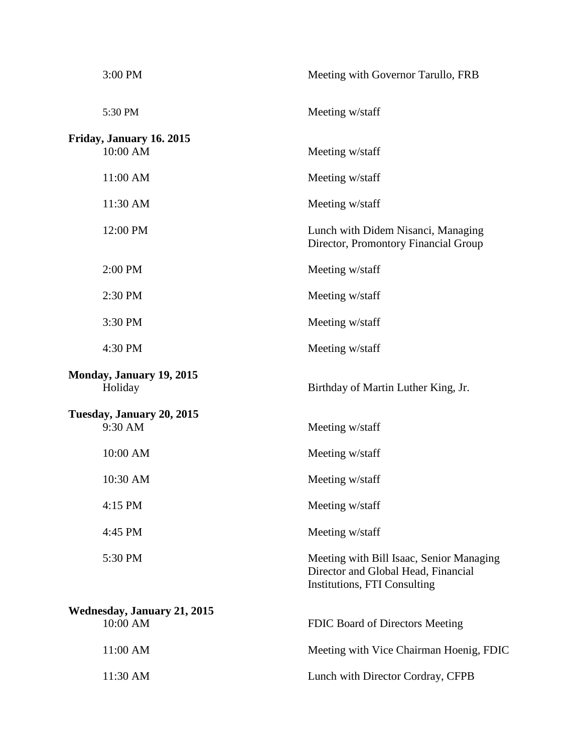| 3:00 PM                                    | Meeting with Governor Tarullo, FRB                                                                              |
|--------------------------------------------|-----------------------------------------------------------------------------------------------------------------|
| 5:30 PM                                    | Meeting w/staff                                                                                                 |
| Friday, January 16. 2015                   |                                                                                                                 |
| 10:00 AM                                   | Meeting w/staff                                                                                                 |
| 11:00 AM                                   | Meeting w/staff                                                                                                 |
| 11:30 AM                                   | Meeting w/staff                                                                                                 |
| 12:00 PM                                   | Lunch with Didem Nisanci, Managing<br>Director, Promontory Financial Group                                      |
| 2:00 PM                                    | Meeting w/staff                                                                                                 |
| 2:30 PM                                    | Meeting w/staff                                                                                                 |
| 3:30 PM                                    | Meeting w/staff                                                                                                 |
| 4:30 PM                                    | Meeting w/staff                                                                                                 |
| <b>Monday, January 19, 2015</b><br>Holiday | Birthday of Martin Luther King, Jr.                                                                             |
| Tuesday, January 20, 2015<br>9:30 AM       | Meeting w/staff                                                                                                 |
| 10:00 AM                                   | Meeting w/staff                                                                                                 |
| 10:30 AM                                   | Meeting w/staff                                                                                                 |
| 4:15 PM                                    | Meeting w/staff                                                                                                 |
| 4:45 PM                                    | Meeting w/staff                                                                                                 |
| 5:30 PM                                    | Meeting with Bill Isaac, Senior Managing<br>Director and Global Head, Financial<br>Institutions, FTI Consulting |
| Wednesday, January 21, 2015<br>10:00 AM    | FDIC Board of Directors Meeting                                                                                 |
| 11:00 AM                                   | Meeting with Vice Chairman Hoenig, FDIC                                                                         |
| 11:30 AM                                   | Lunch with Director Cordray, CFPB                                                                               |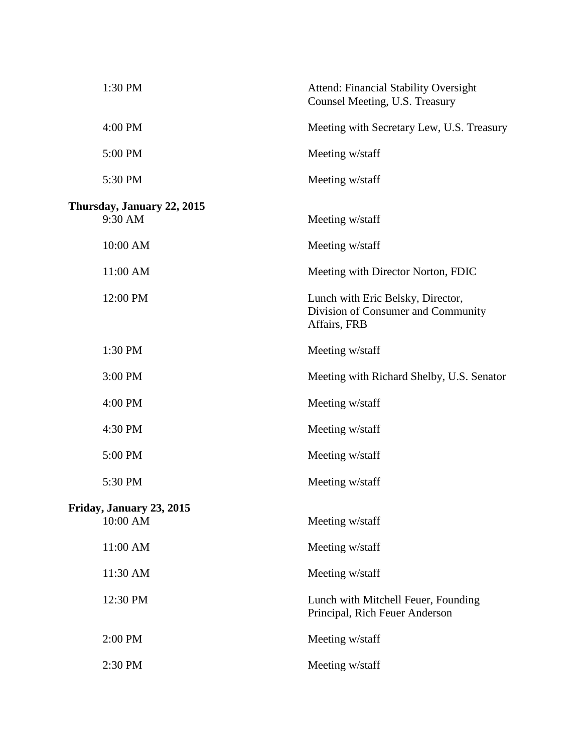| 1:30 PM                               | <b>Attend: Financial Stability Oversight</b><br>Counsel Meeting, U.S. Treasury          |
|---------------------------------------|-----------------------------------------------------------------------------------------|
| 4:00 PM                               | Meeting with Secretary Lew, U.S. Treasury                                               |
| 5:00 PM                               | Meeting w/staff                                                                         |
| 5:30 PM                               | Meeting w/staff                                                                         |
| Thursday, January 22, 2015<br>9:30 AM | Meeting w/staff                                                                         |
| 10:00 AM                              | Meeting w/staff                                                                         |
| 11:00 AM                              | Meeting with Director Norton, FDIC                                                      |
| 12:00 PM                              | Lunch with Eric Belsky, Director,<br>Division of Consumer and Community<br>Affairs, FRB |
| 1:30 PM                               | Meeting w/staff                                                                         |
| 3:00 PM                               | Meeting with Richard Shelby, U.S. Senator                                               |
| 4:00 PM                               | Meeting w/staff                                                                         |
| 4:30 PM                               | Meeting w/staff                                                                         |
| 5:00 PM                               | Meeting w/staff                                                                         |
| 5:30 PM                               | Meeting w/staff                                                                         |
| Friday, January 23, 2015<br>10:00 AM  | Meeting w/staff                                                                         |
| 11:00 AM                              | Meeting w/staff                                                                         |
| 11:30 AM                              | Meeting w/staff                                                                         |
| 12:30 PM                              | Lunch with Mitchell Feuer, Founding<br>Principal, Rich Feuer Anderson                   |
| 2:00 PM                               | Meeting w/staff                                                                         |
| 2:30 PM                               | Meeting w/staff                                                                         |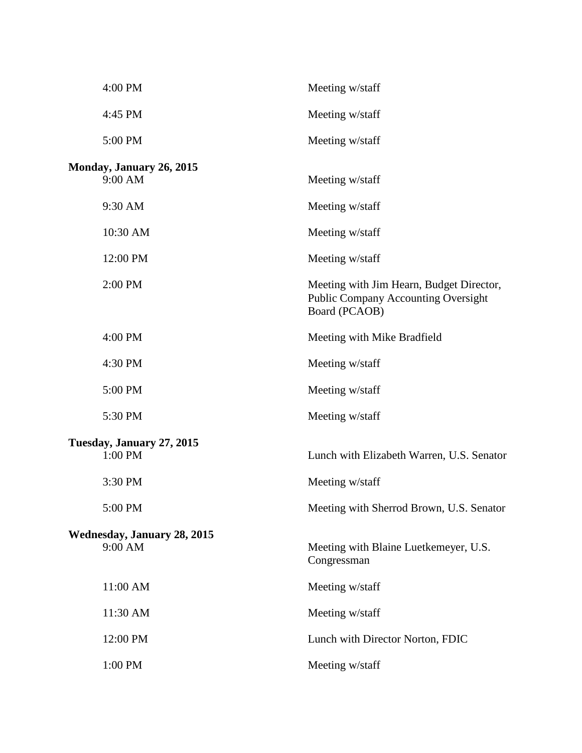| 4:00 PM                            | Meeting w/staff                                                                                         |
|------------------------------------|---------------------------------------------------------------------------------------------------------|
| 4:45 PM                            | Meeting w/staff                                                                                         |
| 5:00 PM                            | Meeting w/staff                                                                                         |
| Monday, January 26, 2015           |                                                                                                         |
| 9:00 AM                            | Meeting w/staff                                                                                         |
| 9:30 AM                            | Meeting w/staff                                                                                         |
| 10:30 AM                           | Meeting w/staff                                                                                         |
| 12:00 PM                           | Meeting w/staff                                                                                         |
| 2:00 PM                            | Meeting with Jim Hearn, Budget Director,<br><b>Public Company Accounting Oversight</b><br>Board (PCAOB) |
| 4:00 PM                            | Meeting with Mike Bradfield                                                                             |
| 4:30 PM                            | Meeting w/staff                                                                                         |
| 5:00 PM                            | Meeting w/staff                                                                                         |
| 5:30 PM                            | Meeting w/staff                                                                                         |
| Tuesday, January 27, 2015          |                                                                                                         |
| 1:00 PM                            | Lunch with Elizabeth Warren, U.S. Senator                                                               |
| 3:30 PM                            | Meeting w/staff                                                                                         |
| 5:00 PM                            | Meeting with Sherrod Brown, U.S. Senator                                                                |
| <b>Wednesday, January 28, 2015</b> |                                                                                                         |
| 9:00 AM                            | Meeting with Blaine Luetkemeyer, U.S.<br>Congressman                                                    |
| 11:00 AM                           | Meeting w/staff                                                                                         |
| 11:30 AM                           | Meeting w/staff                                                                                         |
| 12:00 PM                           | Lunch with Director Norton, FDIC                                                                        |
| 1:00 PM                            | Meeting w/staff                                                                                         |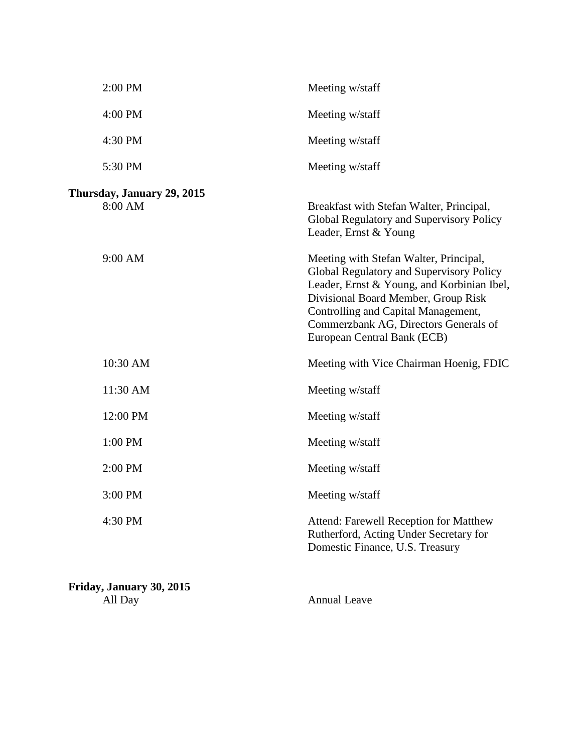| 2:00 PM                               | Meeting w/staff                                                                                                                                                                                                                                                                        |
|---------------------------------------|----------------------------------------------------------------------------------------------------------------------------------------------------------------------------------------------------------------------------------------------------------------------------------------|
| 4:00 PM                               | Meeting w/staff                                                                                                                                                                                                                                                                        |
| 4:30 PM                               | Meeting w/staff                                                                                                                                                                                                                                                                        |
| 5:30 PM                               | Meeting w/staff                                                                                                                                                                                                                                                                        |
| Thursday, January 29, 2015<br>8:00 AM | Breakfast with Stefan Walter, Principal,<br>Global Regulatory and Supervisory Policy<br>Leader, Ernst & Young                                                                                                                                                                          |
| 9:00 AM                               | Meeting with Stefan Walter, Principal,<br>Global Regulatory and Supervisory Policy<br>Leader, Ernst & Young, and Korbinian Ibel,<br>Divisional Board Member, Group Risk<br>Controlling and Capital Management,<br>Commerzbank AG, Directors Generals of<br>European Central Bank (ECB) |
| 10:30 AM                              | Meeting with Vice Chairman Hoenig, FDIC                                                                                                                                                                                                                                                |
| 11:30 AM                              | Meeting w/staff                                                                                                                                                                                                                                                                        |
| 12:00 PM                              | Meeting w/staff                                                                                                                                                                                                                                                                        |
| 1:00 PM                               | Meeting w/staff                                                                                                                                                                                                                                                                        |
| 2:00 PM                               | Meeting w/staff                                                                                                                                                                                                                                                                        |
| 3:00 PM                               | Meeting w/staff                                                                                                                                                                                                                                                                        |
| 4:30 PM                               | Attend: Farewell Reception for Matthew<br>Rutherford, Acting Under Secretary for<br>Domestic Finance, U.S. Treasury                                                                                                                                                                    |

**Friday, January 30, 2015** All Day Annual Leave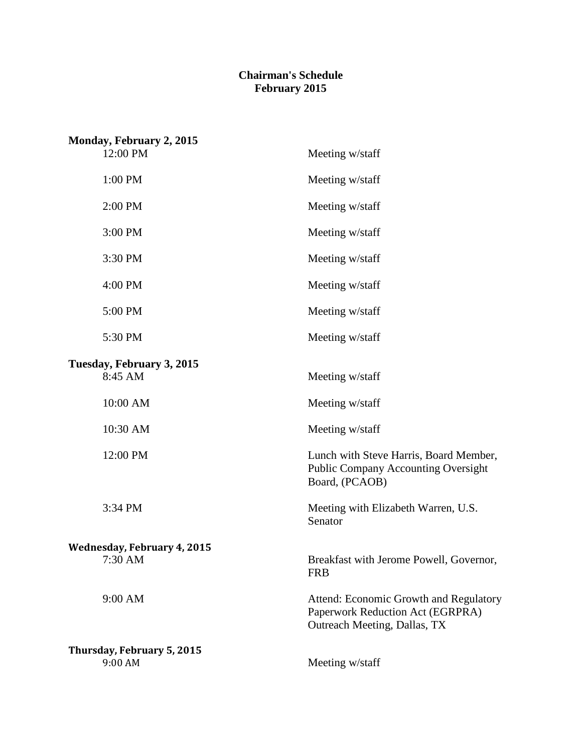## **Chairman's Schedule February 2015**

| Monday, February 2, 2015<br>12:00 PM          | Meeting w/staff                                                                                            |
|-----------------------------------------------|------------------------------------------------------------------------------------------------------------|
| 1:00 PM                                       | Meeting w/staff                                                                                            |
| 2:00 PM                                       | Meeting w/staff                                                                                            |
| 3:00 PM                                       | Meeting w/staff                                                                                            |
| 3:30 PM                                       | Meeting w/staff                                                                                            |
| 4:00 PM                                       | Meeting w/staff                                                                                            |
| 5:00 PM                                       | Meeting w/staff                                                                                            |
| 5:30 PM                                       | Meeting w/staff                                                                                            |
| Tuesday, February 3, 2015<br>8:45 AM          | Meeting w/staff                                                                                            |
| 10:00 AM                                      | Meeting w/staff                                                                                            |
| 10:30 AM                                      | Meeting w/staff                                                                                            |
| 12:00 PM                                      | Lunch with Steve Harris, Board Member,<br>Public Company Accounting Oversight<br>Board, (PCAOB)            |
| 3:34 PM                                       | Meeting with Elizabeth Warren, U.S.<br>Senator                                                             |
| <b>Wednesday, February 4, 2015</b><br>7:30 AM | Breakfast with Jerome Powell, Governor,<br><b>FRB</b>                                                      |
| 9:00 AM                                       | Attend: Economic Growth and Regulatory<br>Paperwork Reduction Act (EGRPRA)<br>Outreach Meeting, Dallas, TX |
| Thursday, February 5, 2015<br>9:00 AM         | Meeting w/staff                                                                                            |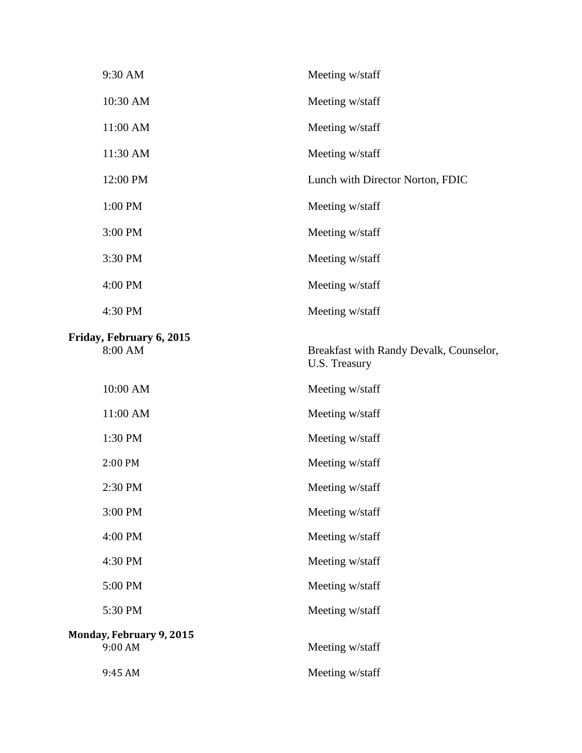| 9:30 AM                                    | Meeting w/staff                                          |
|--------------------------------------------|----------------------------------------------------------|
| 10:30 AM                                   | Meeting w/staff                                          |
| 11:00 AM                                   | Meeting w/staff                                          |
| 11:30 AM                                   | Meeting w/staff                                          |
| 12:00 PM                                   | Lunch with Director Norton, FDIC                         |
| 1:00 PM                                    | Meeting w/staff                                          |
| 3:00 PM                                    | Meeting w/staff                                          |
| 3:30 PM                                    | Meeting w/staff                                          |
| 4:00 PM                                    | Meeting w/staff                                          |
| 4:30 PM                                    | Meeting w/staff                                          |
| Friday, February 6, 2015<br>8:00 AM        | Breakfast with Randy Devalk, Counselor,<br>U.S. Treasury |
| 10:00 AM                                   | Meeting w/staff                                          |
| 11:00 AM                                   | Meeting w/staff                                          |
|                                            |                                                          |
| 1:30 PM                                    | Meeting w/staff                                          |
| 2:00 PM                                    | Meeting w/staff                                          |
| 2:30 PM                                    | Meeting w/staff                                          |
| 3:00 PM                                    | Meeting w/staff                                          |
| 4:00 PM                                    | Meeting w/staff                                          |
| 4:30 PM                                    | Meeting w/staff                                          |
| 5:00 PM                                    | Meeting w/staff                                          |
| 5:30 PM                                    | Meeting w/staff                                          |
| <b>Monday, February 9, 2015</b><br>9:00 AM | Meeting w/staff                                          |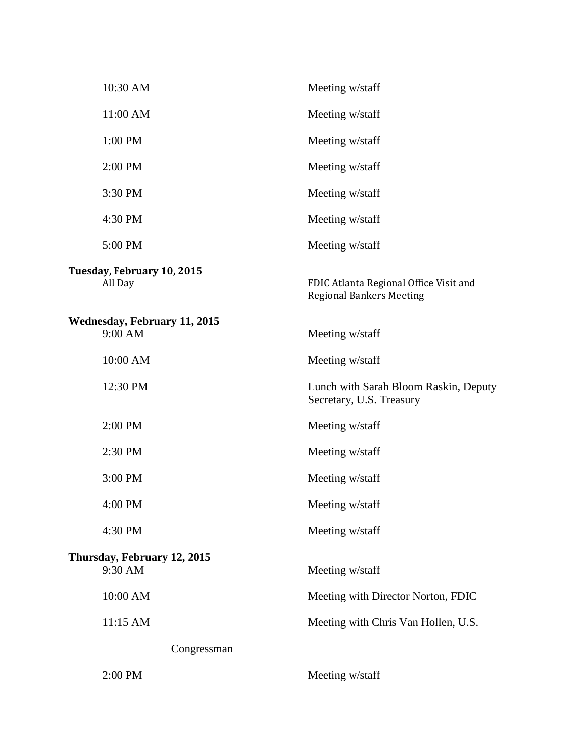| 10:30 AM                                       | Meeting w/staff                                                           |
|------------------------------------------------|---------------------------------------------------------------------------|
| 11:00 AM                                       | Meeting w/staff                                                           |
| 1:00 PM                                        | Meeting w/staff                                                           |
| 2:00 PM                                        | Meeting w/staff                                                           |
| 3:30 PM                                        | Meeting w/staff                                                           |
| 4:30 PM                                        | Meeting w/staff                                                           |
| 5:00 PM                                        | Meeting w/staff                                                           |
| Tuesday, February 10, 2015<br>All Day          | FDIC Atlanta Regional Office Visit and<br><b>Regional Bankers Meeting</b> |
| <b>Wednesday, February 11, 2015</b><br>9:00 AM | Meeting w/staff                                                           |
| 10:00 AM                                       | Meeting w/staff                                                           |
| 12:30 PM                                       | Lunch with Sarah Bloom Raskin, Deputy<br>Secretary, U.S. Treasury         |
| 2:00 PM                                        | Meeting w/staff                                                           |
| 2:30 PM                                        | Meeting w/staff                                                           |
| 3:00 PM                                        | Meeting w/staff                                                           |
| 4:00 PM                                        | Meeting w/staff                                                           |
| 4:30 PM                                        | Meeting w/staff                                                           |
| Thursday, February 12, 2015<br>9:30 AM         | Meeting w/staff                                                           |
| 10:00 AM                                       | Meeting with Director Norton, FDIC                                        |
| 11:15 AM                                       | Meeting with Chris Van Hollen, U.S.                                       |
| Congressman                                    |                                                                           |
| 2:00 PM                                        | Meeting w/staff                                                           |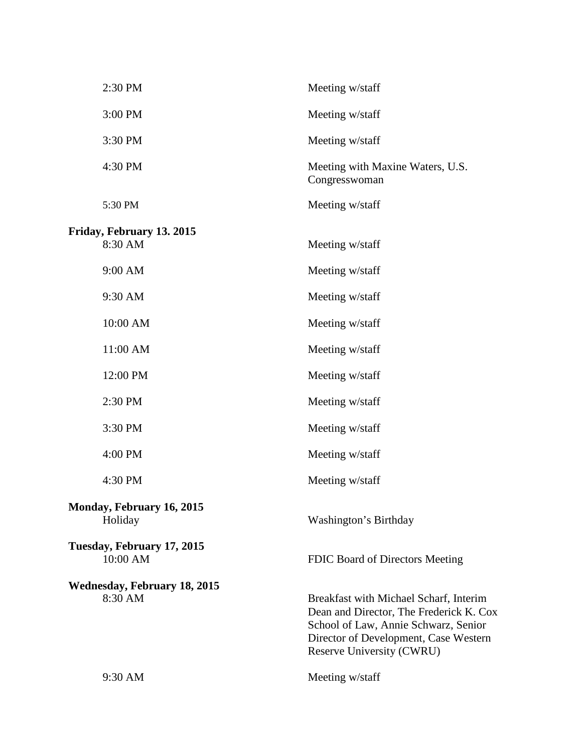| 2:30 PM                                        | Meeting w/staff                                                                                                                                                                                 |
|------------------------------------------------|-------------------------------------------------------------------------------------------------------------------------------------------------------------------------------------------------|
| 3:00 PM                                        | Meeting w/staff                                                                                                                                                                                 |
| 3:30 PM                                        | Meeting w/staff                                                                                                                                                                                 |
| 4:30 PM                                        | Meeting with Maxine Waters, U.S.<br>Congresswoman                                                                                                                                               |
| 5:30 PM                                        | Meeting w/staff                                                                                                                                                                                 |
| Friday, February 13. 2015<br>8:30 AM           | Meeting w/staff                                                                                                                                                                                 |
| 9:00 AM                                        | Meeting w/staff                                                                                                                                                                                 |
| 9:30 AM                                        | Meeting w/staff                                                                                                                                                                                 |
| 10:00 AM                                       | Meeting w/staff                                                                                                                                                                                 |
| 11:00 AM                                       | Meeting w/staff                                                                                                                                                                                 |
| 12:00 PM                                       | Meeting w/staff                                                                                                                                                                                 |
| 2:30 PM                                        | Meeting w/staff                                                                                                                                                                                 |
| 3:30 PM                                        | Meeting w/staff                                                                                                                                                                                 |
| 4:00 PM                                        | Meeting w/staff                                                                                                                                                                                 |
| 4:30 PM                                        | Meeting w/staff                                                                                                                                                                                 |
| <b>Monday, February 16, 2015</b><br>Holiday    | Washington's Birthday                                                                                                                                                                           |
| Tuesday, February 17, 2015<br>10:00 AM         | FDIC Board of Directors Meeting                                                                                                                                                                 |
| <b>Wednesday, February 18, 2015</b><br>8:30 AM | Breakfast with Michael Scharf, Interim<br>Dean and Director, The Frederick K. Cox<br>School of Law, Annie Schwarz, Senior<br>Director of Development, Case Western<br>Reserve University (CWRU) |
| 9:30 AM                                        | Meeting w/staff                                                                                                                                                                                 |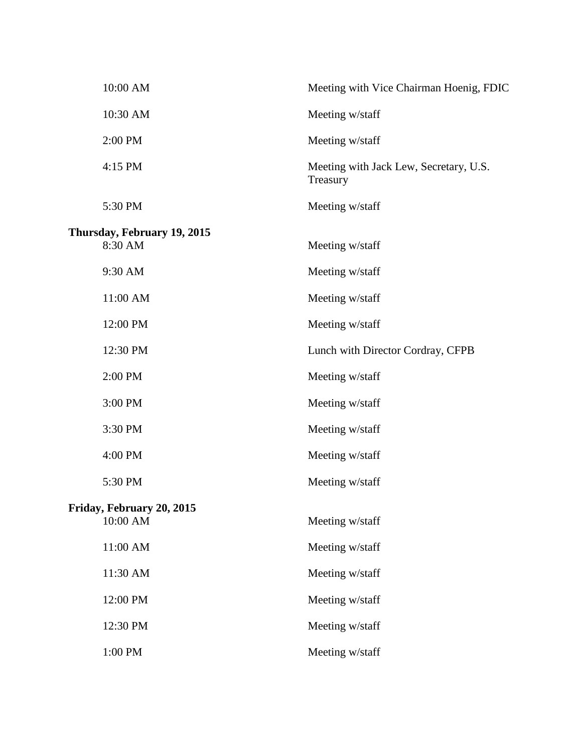| 10:00 AM                               | Meeting with Vice Chairman Hoenig, FDIC            |
|----------------------------------------|----------------------------------------------------|
| 10:30 AM                               | Meeting w/staff                                    |
| 2:00 PM                                | Meeting w/staff                                    |
| 4:15 PM                                | Meeting with Jack Lew, Secretary, U.S.<br>Treasury |
| 5:30 PM                                | Meeting w/staff                                    |
| Thursday, February 19, 2015<br>8:30 AM | Meeting w/staff                                    |
| 9:30 AM                                | Meeting w/staff                                    |
| 11:00 AM                               | Meeting w/staff                                    |
| 12:00 PM                               | Meeting w/staff                                    |
| 12:30 PM                               | Lunch with Director Cordray, CFPB                  |
| 2:00 PM                                | Meeting w/staff                                    |
| 3:00 PM                                | Meeting w/staff                                    |
| 3:30 PM                                | Meeting w/staff                                    |
| 4:00 PM                                | Meeting w/staff                                    |
| 5:30 PM                                | Meeting w/staff                                    |
| Friday, February 20, 2015<br>10:00 AM  | Meeting w/staff                                    |
| 11:00 AM                               | Meeting w/staff                                    |
| 11:30 AM                               | Meeting w/staff                                    |
| 12:00 PM                               | Meeting w/staff                                    |
| 12:30 PM                               | Meeting w/staff                                    |
| 1:00 PM                                | Meeting w/staff                                    |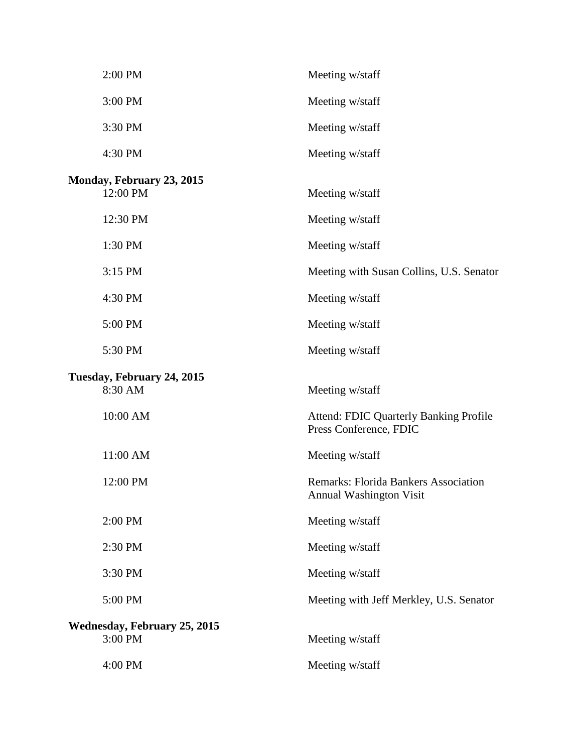| 2:00 PM                                        | Meeting w/staff                                                               |
|------------------------------------------------|-------------------------------------------------------------------------------|
| 3:00 PM                                        | Meeting w/staff                                                               |
| 3:30 PM                                        | Meeting w/staff                                                               |
| 4:30 PM                                        | Meeting w/staff                                                               |
| Monday, February 23, 2015<br>12:00 PM          | Meeting w/staff                                                               |
| 12:30 PM                                       | Meeting w/staff                                                               |
| 1:30 PM                                        | Meeting w/staff                                                               |
| 3:15 PM                                        | Meeting with Susan Collins, U.S. Senator                                      |
| 4:30 PM                                        | Meeting w/staff                                                               |
| 5:00 PM                                        | Meeting w/staff                                                               |
| 5:30 PM                                        | Meeting w/staff                                                               |
| Tuesday, February 24, 2015<br>8:30 AM          | Meeting w/staff                                                               |
| 10:00 AM                                       | <b>Attend: FDIC Quarterly Banking Profile</b><br>Press Conference, FDIC       |
| 11:00 AM                                       | Meeting w/staff                                                               |
| 12:00 PM                                       | <b>Remarks: Florida Bankers Association</b><br><b>Annual Washington Visit</b> |
| 2:00 PM                                        | Meeting w/staff                                                               |
| 2:30 PM                                        | Meeting w/staff                                                               |
| 3:30 PM                                        | Meeting w/staff                                                               |
| 5:00 PM                                        | Meeting with Jeff Merkley, U.S. Senator                                       |
| <b>Wednesday, February 25, 2015</b><br>3:00 PM | Meeting w/staff                                                               |
| 4:00 PM                                        | Meeting w/staff                                                               |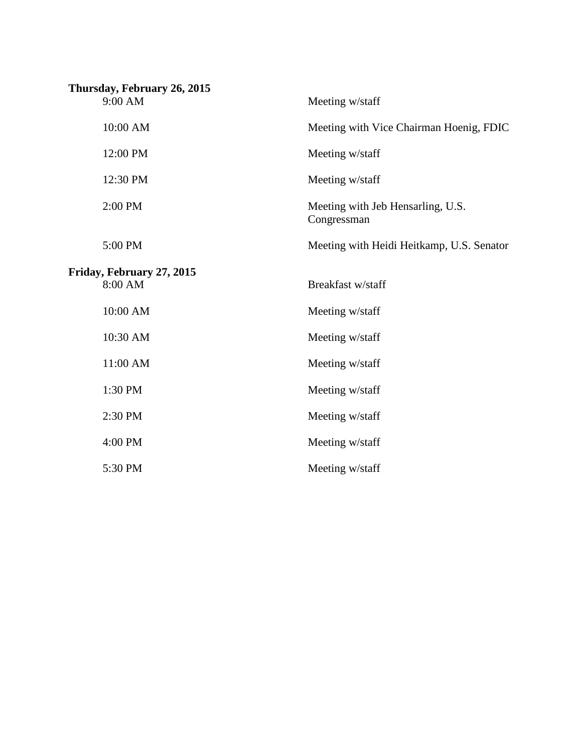| Thursday, February 26, 2015 |                                                  |
|-----------------------------|--------------------------------------------------|
| 9:00 AM                     | Meeting w/staff                                  |
| 10:00 AM                    | Meeting with Vice Chairman Hoenig, FDIC          |
| 12:00 PM                    | Meeting w/staff                                  |
| 12:30 PM                    | Meeting w/staff                                  |
| 2:00 PM                     | Meeting with Jeb Hensarling, U.S.<br>Congressman |
| 5:00 PM                     | Meeting with Heidi Heitkamp, U.S. Senator        |
| Friday, February 27, 2015   |                                                  |
| 8:00 AM                     | Breakfast w/staff                                |
| 10:00 AM                    | Meeting w/staff                                  |
| 10:30 AM                    | Meeting w/staff                                  |
| 11:00 AM                    | Meeting w/staff                                  |
| 1:30 PM                     | Meeting w/staff                                  |
| 2:30 PM                     | Meeting w/staff                                  |
| 4:00 PM                     | Meeting w/staff                                  |
| 5:30 PM                     | Meeting w/staff                                  |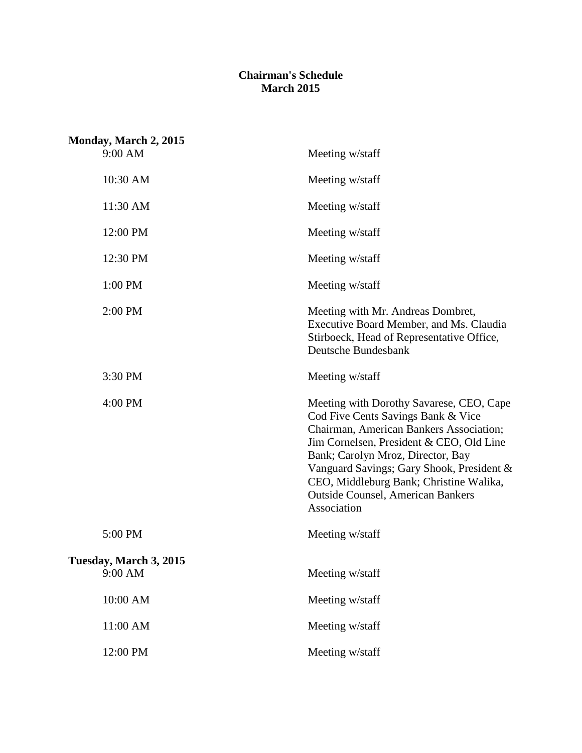## **Chairman's Schedule March 2015**

| Monday, March 2, 2015             |                                                                                                                                                                                                                                                                                                                                                               |
|-----------------------------------|---------------------------------------------------------------------------------------------------------------------------------------------------------------------------------------------------------------------------------------------------------------------------------------------------------------------------------------------------------------|
| 9:00 AM                           | Meeting w/staff                                                                                                                                                                                                                                                                                                                                               |
| 10:30 AM                          | Meeting w/staff                                                                                                                                                                                                                                                                                                                                               |
| 11:30 AM                          | Meeting w/staff                                                                                                                                                                                                                                                                                                                                               |
| 12:00 PM                          | Meeting w/staff                                                                                                                                                                                                                                                                                                                                               |
| 12:30 PM                          | Meeting w/staff                                                                                                                                                                                                                                                                                                                                               |
| 1:00 PM                           | Meeting w/staff                                                                                                                                                                                                                                                                                                                                               |
| 2:00 PM                           | Meeting with Mr. Andreas Dombret,<br>Executive Board Member, and Ms. Claudia<br>Stirboeck, Head of Representative Office,<br>Deutsche Bundesbank                                                                                                                                                                                                              |
| 3:30 PM                           | Meeting w/staff                                                                                                                                                                                                                                                                                                                                               |
| 4:00 PM                           | Meeting with Dorothy Savarese, CEO, Cape<br>Cod Five Cents Savings Bank & Vice<br>Chairman, American Bankers Association;<br>Jim Cornelsen, President & CEO, Old Line<br>Bank; Carolyn Mroz, Director, Bay<br>Vanguard Savings; Gary Shook, President &<br>CEO, Middleburg Bank; Christine Walika,<br><b>Outside Counsel, American Bankers</b><br>Association |
| 5:00 PM                           | Meeting w/staff                                                                                                                                                                                                                                                                                                                                               |
| Tuesday, March 3, 2015<br>9:00 AM | Meeting w/staff                                                                                                                                                                                                                                                                                                                                               |
| 10:00 AM                          | Meeting w/staff                                                                                                                                                                                                                                                                                                                                               |
| 11:00 AM                          | Meeting w/staff                                                                                                                                                                                                                                                                                                                                               |
| 12:00 PM                          | Meeting w/staff                                                                                                                                                                                                                                                                                                                                               |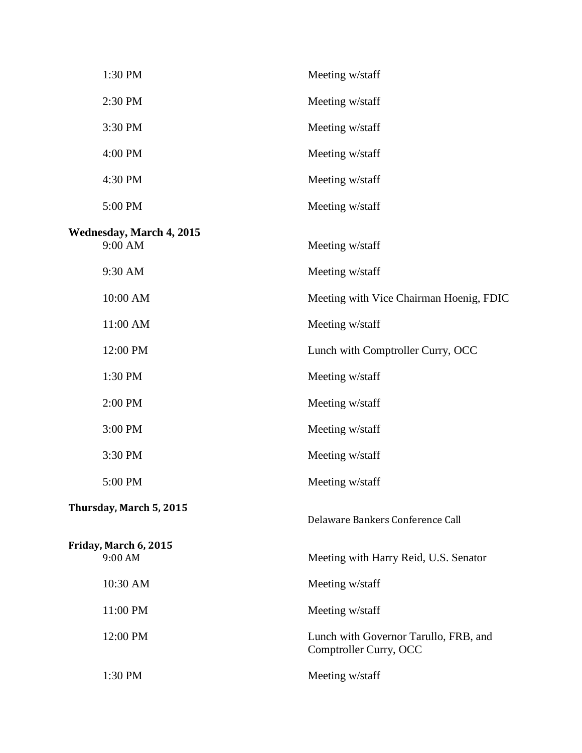| 1:30 PM                                    | Meeting w/staff                                                 |
|--------------------------------------------|-----------------------------------------------------------------|
| 2:30 PM                                    | Meeting w/staff                                                 |
| 3:30 PM                                    | Meeting w/staff                                                 |
| 4:00 PM                                    | Meeting w/staff                                                 |
| 4:30 PM                                    | Meeting w/staff                                                 |
| 5:00 PM                                    | Meeting w/staff                                                 |
| <b>Wednesday, March 4, 2015</b><br>9:00 AM | Meeting w/staff                                                 |
| 9:30 AM                                    | Meeting w/staff                                                 |
| 10:00 AM                                   | Meeting with Vice Chairman Hoenig, FDIC                         |
| 11:00 AM                                   | Meeting w/staff                                                 |
| 12:00 PM                                   | Lunch with Comptroller Curry, OCC                               |
| 1:30 PM                                    | Meeting w/staff                                                 |
| 2:00 PM                                    | Meeting w/staff                                                 |
| 3:00 PM                                    | Meeting w/staff                                                 |
| 3:30 PM                                    | Meeting w/staff                                                 |
| 5:00 PM                                    | Meeting w/staff                                                 |
| Thursday, March 5, 2015                    | Delaware Bankers Conference Call                                |
| Friday, March 6, 2015<br>9:00 AM           | Meeting with Harry Reid, U.S. Senator                           |
| 10:30 AM                                   | Meeting w/staff                                                 |
| 11:00 PM                                   | Meeting w/staff                                                 |
| 12:00 PM                                   | Lunch with Governor Tarullo, FRB, and<br>Comptroller Curry, OCC |
| 1:30 PM                                    | Meeting w/staff                                                 |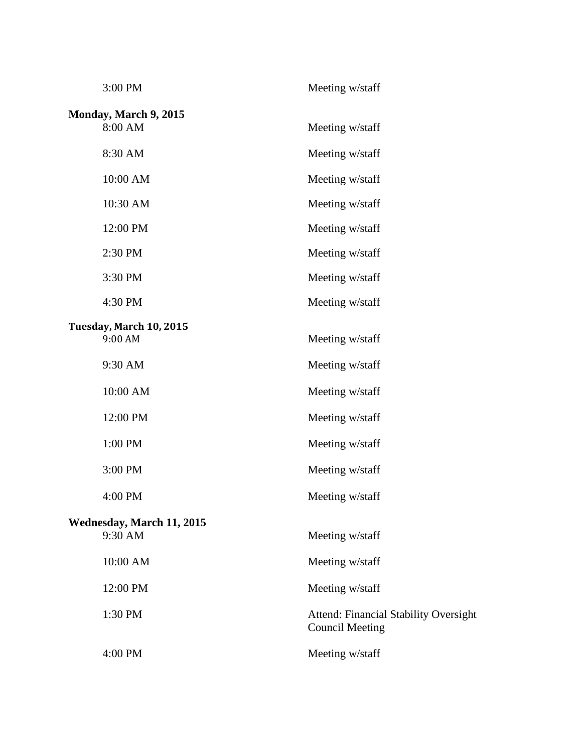| 3:00 PM                            | Meeting w/staff                                                        |
|------------------------------------|------------------------------------------------------------------------|
| Monday, March 9, 2015<br>8:00 AM   | Meeting w/staff                                                        |
| 8:30 AM                            | Meeting w/staff                                                        |
| 10:00 AM                           | Meeting w/staff                                                        |
| 10:30 AM                           | Meeting w/staff                                                        |
| 12:00 PM                           | Meeting w/staff                                                        |
| 2:30 PM                            | Meeting w/staff                                                        |
| 3:30 PM                            | Meeting w/staff                                                        |
| 4:30 PM                            | Meeting w/staff                                                        |
| Tuesday, March 10, 2015<br>9:00 AM | Meeting w/staff                                                        |
| 9:30 AM                            | Meeting w/staff                                                        |
| 10:00 AM                           | Meeting w/staff                                                        |
| 12:00 PM                           | Meeting w/staff                                                        |
| 1:00 PM                            | Meeting w/staff                                                        |
| 3:00 PM                            | Meeting w/staff                                                        |
| 4:00 PM                            | Meeting w/staff                                                        |
| <b>Wednesday, March 11, 2015</b>   |                                                                        |
| 9:30 AM                            | Meeting w/staff                                                        |
| 10:00 AM                           | Meeting w/staff                                                        |
| 12:00 PM                           | Meeting w/staff                                                        |
| 1:30 PM                            | <b>Attend: Financial Stability Oversight</b><br><b>Council Meeting</b> |
| 4:00 PM                            | Meeting w/staff                                                        |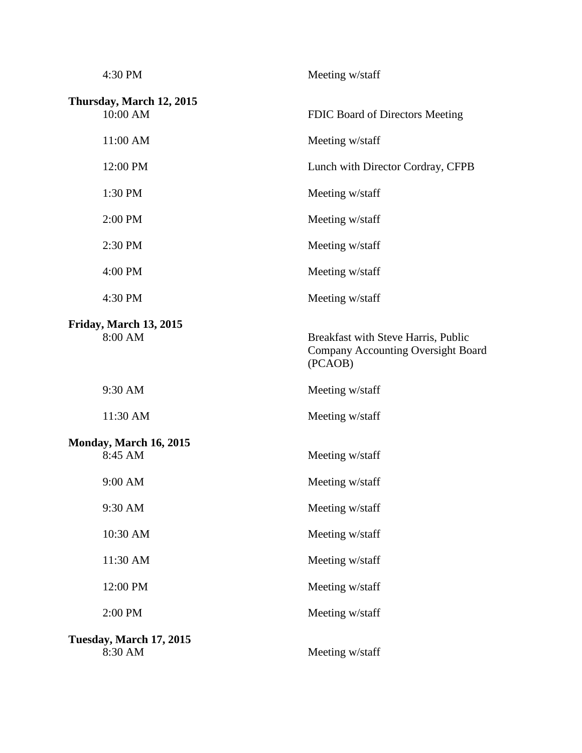| 4:30 PM                              | Meeting w/staff                                                                             |
|--------------------------------------|---------------------------------------------------------------------------------------------|
| Thursday, March 12, 2015<br>10:00 AM | FDIC Board of Directors Meeting                                                             |
| 11:00 AM                             | Meeting w/staff                                                                             |
| 12:00 PM                             | Lunch with Director Cordray, CFPB                                                           |
| 1:30 PM                              | Meeting w/staff                                                                             |
| 2:00 PM                              | Meeting w/staff                                                                             |
| 2:30 PM                              | Meeting w/staff                                                                             |
| 4:00 PM                              | Meeting w/staff                                                                             |
| 4:30 PM                              | Meeting w/staff                                                                             |
| Friday, March 13, 2015<br>8:00 AM    | Breakfast with Steve Harris, Public<br><b>Company Accounting Oversight Board</b><br>(PCAOB) |
| 9:30 AM                              | Meeting w/staff                                                                             |
| 11:30 AM                             | Meeting w/staff                                                                             |
| Monday, March 16, 2015<br>8:45 AM    | Meeting w/staff                                                                             |
| $9:00$ AM                            | Meeting w/staff                                                                             |
| 9:30 AM                              | Meeting w/staff                                                                             |
| 10:30 AM                             | Meeting w/staff                                                                             |
| 11:30 AM                             | Meeting w/staff                                                                             |
| 12:00 PM                             | Meeting w/staff                                                                             |
| 2:00 PM                              | Meeting w/staff                                                                             |
| Tuesday, March 17, 2015<br>8:30 AM   | Meeting w/staff                                                                             |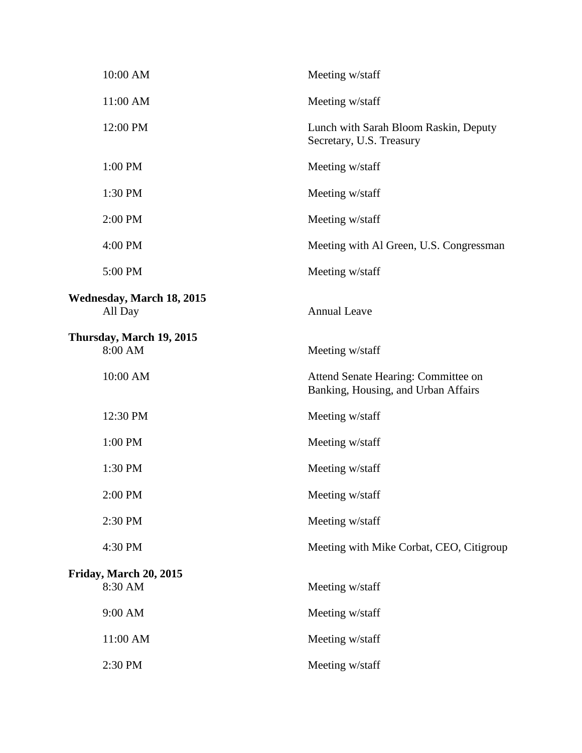| 10:00 AM                                    | Meeting w/staff                                                            |
|---------------------------------------------|----------------------------------------------------------------------------|
| 11:00 AM                                    | Meeting w/staff                                                            |
| 12:00 PM                                    | Lunch with Sarah Bloom Raskin, Deputy<br>Secretary, U.S. Treasury          |
| 1:00 PM                                     | Meeting w/staff                                                            |
| 1:30 PM                                     | Meeting w/staff                                                            |
| 2:00 PM                                     | Meeting w/staff                                                            |
| 4:00 PM                                     | Meeting with Al Green, U.S. Congressman                                    |
| 5:00 PM                                     | Meeting w/staff                                                            |
| <b>Wednesday, March 18, 2015</b><br>All Day | <b>Annual Leave</b>                                                        |
| Thursday, March 19, 2015<br>8:00 AM         | Meeting w/staff                                                            |
| 10:00 AM                                    | Attend Senate Hearing: Committee on<br>Banking, Housing, and Urban Affairs |
| 12:30 PM                                    | Meeting w/staff                                                            |
| 1:00 PM                                     | Meeting w/staff                                                            |
| 1:30 PM                                     | Meeting w/staff                                                            |
| 2:00 PM                                     | Meeting w/staff                                                            |
| 2:30 PM                                     | Meeting w/staff                                                            |
| 4:30 PM                                     | Meeting with Mike Corbat, CEO, Citigroup                                   |
| Friday, March 20, 2015<br>8:30 AM           | Meeting w/staff                                                            |
| 9:00 AM                                     | Meeting w/staff                                                            |
| 11:00 AM                                    | Meeting w/staff                                                            |
| 2:30 PM                                     | Meeting w/staff                                                            |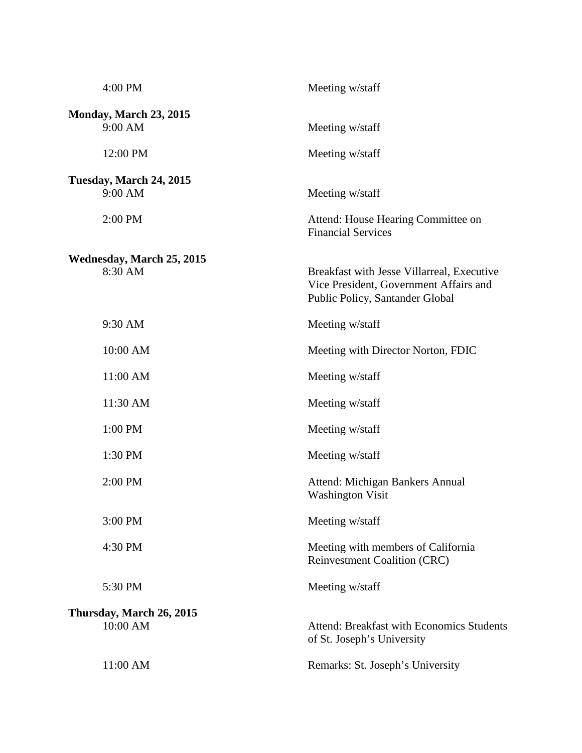| 4:00 PM                                  | Meeting w/staff                                                                                                         |
|------------------------------------------|-------------------------------------------------------------------------------------------------------------------------|
| <b>Monday, March 23, 2015</b><br>9:00 AM | Meeting w/staff                                                                                                         |
| 12:00 PM                                 | Meeting w/staff                                                                                                         |
| Tuesday, March 24, 2015<br>9:00 AM       | Meeting w/staff                                                                                                         |
| 2:00 PM                                  | Attend: House Hearing Committee on<br><b>Financial Services</b>                                                         |
| Wednesday, March 25, 2015<br>8:30 AM     | Breakfast with Jesse Villarreal, Executive<br>Vice President, Government Affairs and<br>Public Policy, Santander Global |
| 9:30 AM                                  | Meeting w/staff                                                                                                         |
| 10:00 AM                                 | Meeting with Director Norton, FDIC                                                                                      |
| 11:00 AM                                 | Meeting w/staff                                                                                                         |
| 11:30 AM                                 | Meeting w/staff                                                                                                         |
| 1:00 PM                                  | Meeting w/staff                                                                                                         |
| 1:30 PM                                  | Meeting w/staff                                                                                                         |
| $2:00$ PM                                | Attend: Michigan Bankers Annual<br><b>Washington Visit</b>                                                              |
| 3:00 PM                                  | Meeting w/staff                                                                                                         |
| 4:30 PM                                  | Meeting with members of California<br><b>Reinvestment Coalition (CRC)</b>                                               |
| 5:30 PM                                  | Meeting w/staff                                                                                                         |
| Thursday, March 26, 2015<br>10:00 AM     | <b>Attend: Breakfast with Economics Students</b><br>of St. Joseph's University                                          |
| 11:00 AM                                 | Remarks: St. Joseph's University                                                                                        |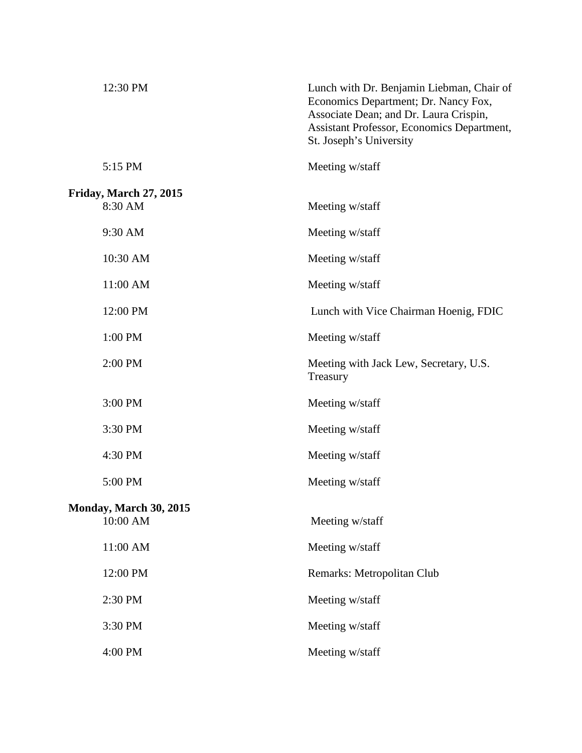| 12:30 PM                                 | Lunch with Dr. Benjamin Liebman, Chair of<br>Economics Department; Dr. Nancy Fox,<br>Associate Dean; and Dr. Laura Crispin,<br>Assistant Professor, Economics Department,<br>St. Joseph's University |
|------------------------------------------|------------------------------------------------------------------------------------------------------------------------------------------------------------------------------------------------------|
| 5:15 PM                                  | Meeting w/staff                                                                                                                                                                                      |
| <b>Friday, March 27, 2015</b><br>8:30 AM | Meeting w/staff                                                                                                                                                                                      |
| 9:30 AM                                  | Meeting w/staff                                                                                                                                                                                      |
| 10:30 AM                                 | Meeting w/staff                                                                                                                                                                                      |
| 11:00 AM                                 | Meeting w/staff                                                                                                                                                                                      |
| 12:00 PM                                 | Lunch with Vice Chairman Hoenig, FDIC                                                                                                                                                                |
| 1:00 PM                                  | Meeting w/staff                                                                                                                                                                                      |
| 2:00 PM                                  | Meeting with Jack Lew, Secretary, U.S.<br>Treasury                                                                                                                                                   |
| 3:00 PM                                  | Meeting w/staff                                                                                                                                                                                      |
| 3:30 PM                                  | Meeting w/staff                                                                                                                                                                                      |
| 4:30 PM                                  | Meeting w/staff                                                                                                                                                                                      |
| 5:00 PM                                  | Meeting w/staff                                                                                                                                                                                      |
| Monday, March 30, 2015<br>10:00 AM       | Meeting w/staff                                                                                                                                                                                      |
| 11:00 AM                                 | Meeting w/staff                                                                                                                                                                                      |
| 12:00 PM                                 | Remarks: Metropolitan Club                                                                                                                                                                           |
| 2:30 PM                                  | Meeting w/staff                                                                                                                                                                                      |
| 3:30 PM                                  | Meeting w/staff                                                                                                                                                                                      |
| 4:00 PM                                  | Meeting w/staff                                                                                                                                                                                      |